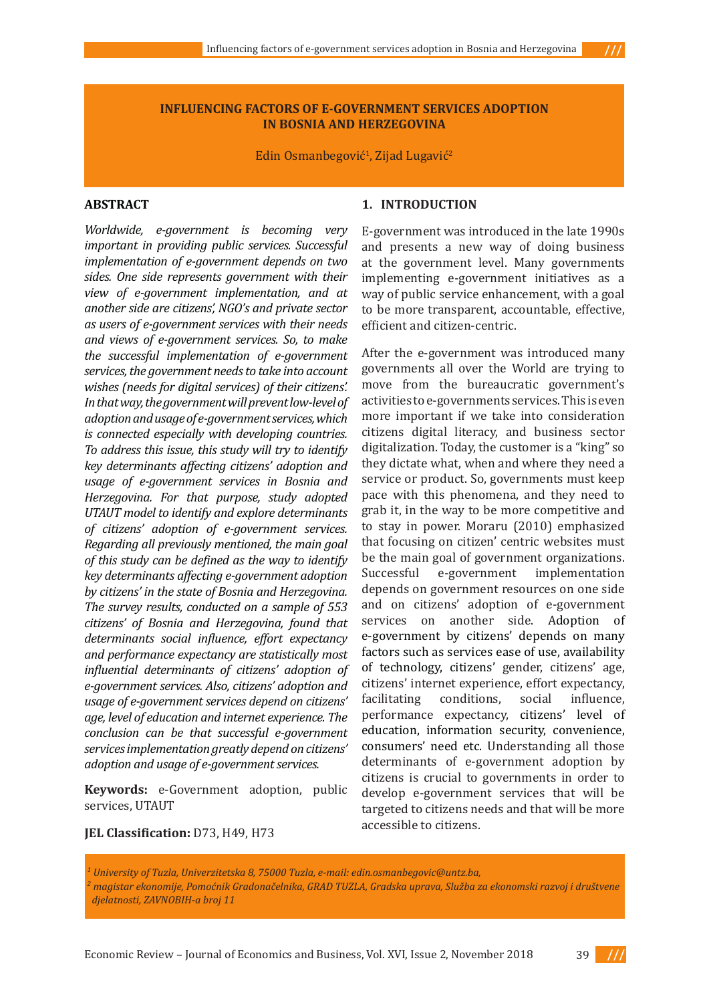## **INFLUENCING FACTORS OF E-GOVERNMENT SERVICES ADOPTION IN BOSNIA AND HERZEGOVINA**

Edin Osmanbegović<sup>1</sup>, Zijad Lugavić<sup>2</sup>

# **ABSTRACT**

*Worldwide, e-government is becoming very important in providing public services. Successful implementation of e-government depends on two sides. One side represents government with their view of e-government implementation, and at another side are citizens', NGO's and private sector as users of e-government services with their needs and views of e-government services. So, to make the successful implementation of e-government services, the government needs to take into account wishes (needs for digital services) of their citizens'. In that way, the government will prevent low-level of adoption and usage of e-government services, which is connected especially with developing countries. To address this issue, this study will try to identify key determinants affecting citizens' adoption and usage of e-government services in Bosnia and Herzegovina. For that purpose, study adopted UTAUT model to identify and explore determinants of citizens' adoption of e-government services. Regarding all previously mentioned, the main goal of this study can be defined as the way to identify key determinants affecting e-government adoption by citizens' in the state of Bosnia and Herzegovina. The survey results, conducted on a sample of 553 citizens' of Bosnia and Herzegovina, found that determinants social influence, effort expectancy and performance expectancy are statistically most influential determinants of citizens' adoption of e-government services. Also, citizens' adoption and usage of e-government services depend on citizens' age, level of education and internet experience. The conclusion can be that successful e-government services implementation greatly depend on citizens' adoption and usage of e-government services.* 

**Keywords:** e-Government adoption, public services, UTAUT

## **1. INTRODUCTION**

E-government was introduced in the late 1990s and presents a new way of doing business at the government level. Many governments implementing e-government initiatives as a way of public service enhancement, with a goal to be more transparent, accountable, effective, efficient and citizen-centric.

 $II$ 

After the e-government was introduced many governments all over the World are trying to move from the bureaucratic government's activities to e-governments services. This is even more important if we take into consideration citizens digital literacy, and business sector digitalization. Today, the customer is a "king" so they dictate what, when and where they need a service or product. So, governments must keep pace with this phenomena, and they need to grab it, in the way to be more competitive and to stay in power. Moraru (2010) emphasized that focusing on citizen' centric websites must be the main goal of government organizations. Successful e-government implementation depends on government resources on one side and on citizens' adoption of e-government services on another side. Adoption of e-government by citizens' depends on many factors such as services ease of use, availability of technology, citizens' gender, citizens' age, citizens' internet experience, effort expectancy, conditions, performance expectancy, citizens' level of education, information security, convenience, consumers' need etc. Understanding all those determinants of e-government adoption by citizens is crucial to governments in order to develop e-government services that will be targeted to citizens needs and that will be more accessible to citizens.

**JEL Classification:** D73, H49, H73

*1 University of Tuzla, Univerzitetska 8, 75000 Tuzla, e-mail: edin.osmanbegovic@untz.ba,*  <sup>2</sup> magistar ekonomije, Pomoćnik Gradonačelnika, GRAD TUZLA, Gradska uprava, Služba za ekonomski razvoj i društvene  *djelatnosti, ZAVNOBIH-a broj 11*

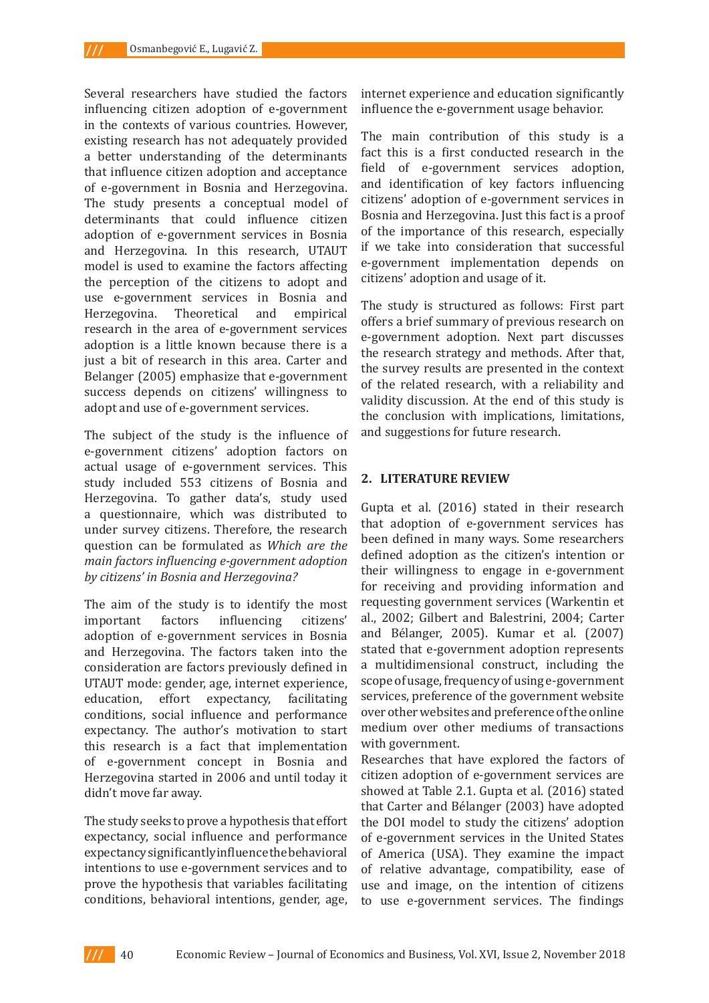Several researchers have studied the factors influencing citizen adoption of e-government in the contexts of various countries. However, existing research has not adequately provided a better understanding of the determinants that influence citizen adoption and acceptance of e-government in Bosnia and Herzegovina. The study presents a conceptual model of determinants that could influence citizen adoption of e-government services in Bosnia and Herzegovina. In this research, UTAUT model is used to examine the factors affecting the perception of the citizens to adopt and use e-government services in Bosnia and Herzegovina. Theoretical and empirical research in the area of e-government services adoption is a little known because there is a just a bit of research in this area. Carter and Belanger (2005) emphasize that e-government success depends on citizens' willingness to adopt and use of e-government services.

The subject of the study is the influence of e-government citizens' adoption factors on actual usage of e-government services. This study included 553 citizens of Bosnia and Herzegovina. To gather data's, study used a questionnaire, which was distributed to under survey citizens. Therefore, the research question can be formulated as *Which are the main factors influencing e-government adoption by citizens' in Bosnia and Herzegovina?*

The aim of the study is to identify the most<br>important factors influencing citizens' influencing adoption of e-government services in Bosnia and Herzegovina. The factors taken into the consideration are factors previously defined in UTAUT mode: gender, age, internet experience,<br>education, effort expectancy, facilitating effort expectancy, conditions, social influence and performance expectancy. The author's motivation to start this research is a fact that implementation of e-government concept in Bosnia and Herzegovina started in 2006 and until today it didn't move far away.

The study seeks to prove a hypothesis that effort expectancy, social influence and performance expectancy significantly influence the behavioral intentions to use e-government services and to prove the hypothesis that variables facilitating conditions, behavioral intentions, gender, age, internet experience and education significantly influence the e-government usage behavior.

The main contribution of this study is a fact this is a first conducted research in the field of e-government services adoption, and identification of key factors influencing citizens' adoption of e-government services in Bosnia and Herzegovina. Just this fact is a proof of the importance of this research, especially if we take into consideration that successful e-government implementation depends on citizens' adoption and usage of it.

The study is structured as follows: First part offers a brief summary of previous research on e-government adoption. Next part discusses the research strategy and methods. After that, the survey results are presented in the context of the related research, with a reliability and validity discussion. At the end of this study is the conclusion with implications, limitations, and suggestions for future research.

# **2. LITERATURE REVIEW**

Gupta et al. (2016) stated in their research that adoption of e-government services has been defined in many ways. Some researchers defined adoption as the citizen's intention or their willingness to engage in e-government for receiving and providing information and requesting government services (Warkentin et al., 2002; Gilbert and Balestrini, 2004; Carter and Bélanger, 2005). Kumar et al. (2007) stated that e-government adoption represents a multidimensional construct, including the scope of usage, frequency of using e-government services, preference of the government website over other websites and preference of the online medium over other mediums of transactions with government.

Researches that have explored the factors of citizen adoption of e-government services are showed at Table 2.1. Gupta et al. (2016) stated that Carter and Bélanger (2003) have adopted the DOI model to study the citizens' adoption of e-government services in the United States of America (USA). They examine the impact of relative advantage, compatibility, ease of use and image, on the intention of citizens to use e-government services. The findings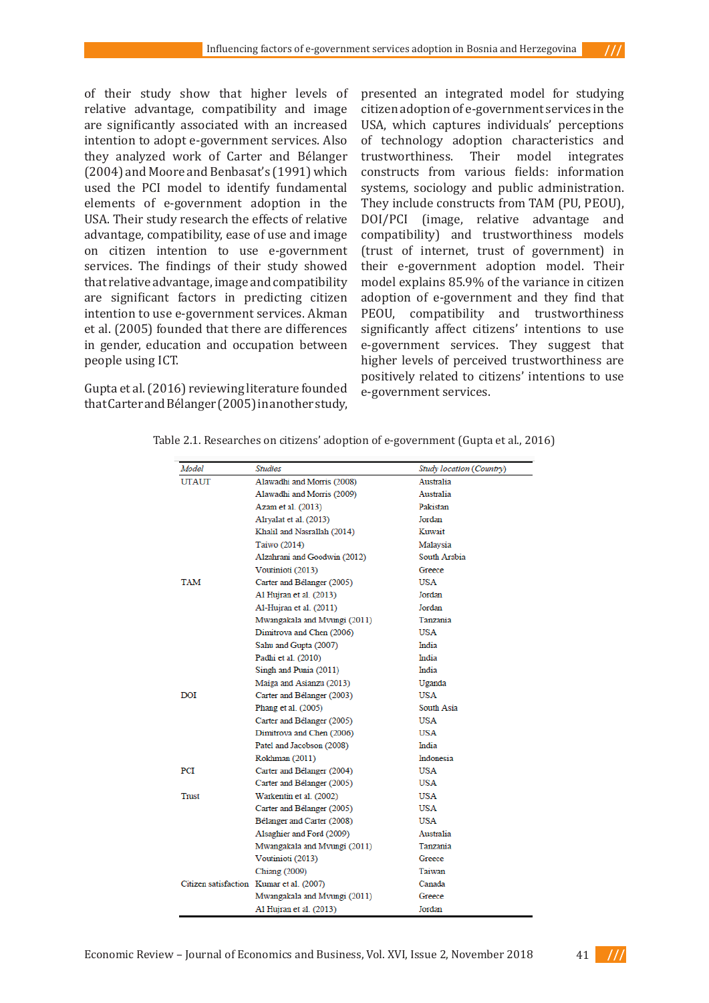of their study show that higher levels of relative advantage, compatibility and image are significantly associated with an increased intention to adopt e-government services. Also they analyzed work of Carter and Bélanger (2004) and Moore and Benbasat's (1991) which used the PCI model to identify fundamental elements of e-government adoption in the USA. Their study research the effects of relative advantage, compatibility, ease of use and image on citizen intention to use e-government services. The findings of their study showed that relative advantage, image and compatibility are significant factors in predicting citizen intention to use e-government services. Akman et al. (2005) founded that there are differences in gender, education and occupation between people using ICT.

Gupta et al. (2016) reviewing literature founded that Carter and Bélanger (2005) in another study,

presented an integrated model for studying citizen adoption of e-government services in the USA, which captures individuals' perceptions of technology adoption characteristics and<br>trustworthiness. Their model integrates Their model integrates constructs from various fields: information systems, sociology and public administration. They include constructs from TAM (PU, PEOU), DOI/PCI (image, relative advantage and compatibility) and trustworthiness models (trust of internet, trust of government) in their e-government adoption model. Their model explains 85.9% of the variance in citizen adoption of e-government and they find that PEOU, compatibility and trustworthiness significantly affect citizens' intentions to use e-government services. They suggest that higher levels of perceived trustworthiness are positively related to citizens' intentions to use e-government services.

 $111$ 

| Model        | <b>Studies</b>                           | Study location (Country) |
|--------------|------------------------------------------|--------------------------|
| <b>UTAUT</b> | Alawadhi and Morris (2008)               | Australia                |
|              | Alawadhi and Morris (2009)               | Australia                |
|              | Azam et al. (2013)                       | Pakistan                 |
|              | Alryalat et al. (2013)                   | Jordan                   |
|              | Khalil and Nasrallah (2014)              | Kuwait                   |
|              | Taiwo (2014)                             | Malaysia                 |
|              | Alzahrani and Goodwin (2012)             | South Arabia             |
|              | Voutinioti (2013)                        | Greece                   |
| TAM          | Carter and Bélanger (2005)               | USA                      |
|              | Al Hujran et al. (2013)                  | Jordan                   |
|              | Al-Hujran et al. (2011)                  | Jordan                   |
|              | Mwangakala and Mvungi (2011)             | Tanzania                 |
|              | Dimitrova and Chen (2006)                | USA                      |
|              | Sahu and Gupta (2007)                    | India                    |
|              | Padhi et al. (2010)                      | India                    |
|              | Singh and Punia (2011)                   | India                    |
|              | Maiga and Asianzu (2013)                 | Uganda                   |
| DOI          | Carter and Bélanger (2003)               | USA                      |
|              | Phang et al. (2005)                      | South Asia               |
|              | Carter and Bélanger (2005)               | USA                      |
|              | Dimitrova and Chen (2006)                | USA                      |
|              | Patel and Jacobson (2008)                | India                    |
|              | Rokhman (2011)                           | Indonesia                |
| PCI          | Carter and Bélanger (2004)               | USA                      |
|              | Carter and Bélanger (2005)               | USA                      |
| Trust        | Warkentin et al. (2002)                  | USA                      |
|              | Carter and Bélanger (2005)               | USA                      |
|              | Bélanger and Carter (2008)               | USA                      |
|              | Alsaghier and Ford (2009)                | Australia                |
|              | Mwangakala and Mvungi (2011)             | Tanzania                 |
|              | Voutinioti (2013)                        | Greece                   |
|              | <b>Chiang</b> (2009)                     | Taiwan                   |
|              | Citizen satisfaction Kumar et al. (2007) | Canada                   |
|              | Mwangakala and Mvungi (2011)             | Greece                   |
|              | Al Hujran et al. (2013)                  | Jordan                   |

Table 2.1. Researches on citizens' adoption of e-government (Gupta et al., 2016)

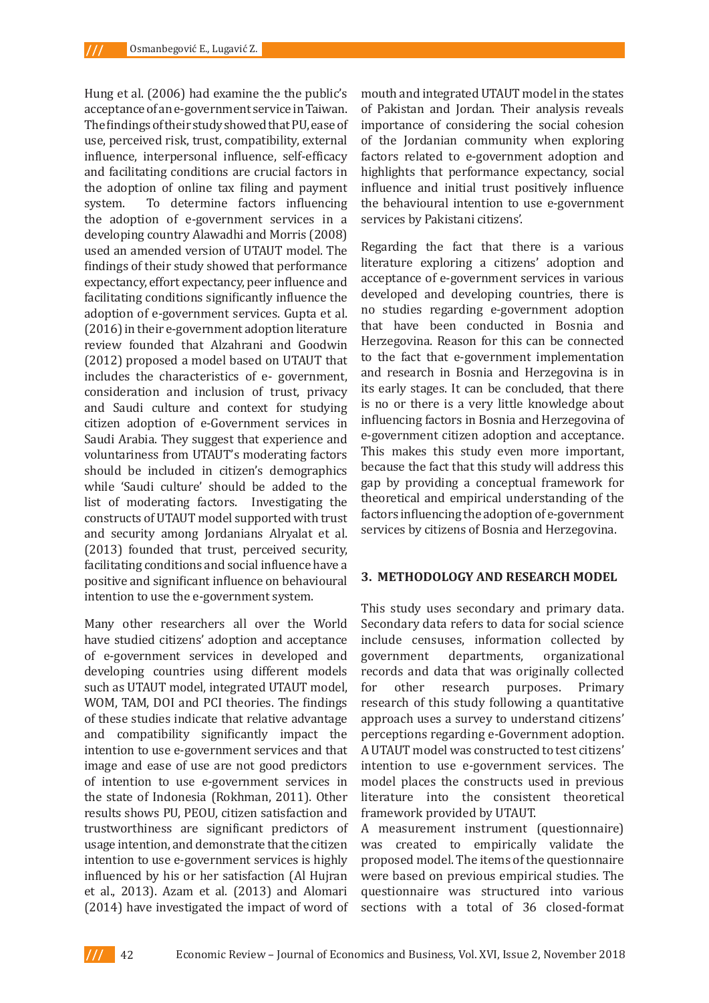Hung et al. (2006) had examine the the public's acceptance of an e-government service in Taiwan. The findings of their study showed that PU, ease of use, perceived risk, trust, compatibility, external influence, interpersonal influence, self-efficacy and facilitating conditions are crucial factors in the adoption of online tax filing and payment system. To determine factors influencing the adoption of e-government services in a developing country Alawadhi and Morris (2008) used an amended version of UTAUT model. The findings of their study showed that performance expectancy, effort expectancy, peer influence and facilitating conditions significantly influence the adoption of e-government services. Gupta et al. (2016) in their e-government adoption literature review founded that Alzahrani and Goodwin (2012) proposed a model based on UTAUT that includes the characteristics of e- government, consideration and inclusion of trust, privacy and Saudi culture and context for studying citizen adoption of e-Government services in Saudi Arabia. They suggest that experience and voluntariness from UTAUT's moderating factors should be included in citizen's demographics while 'Saudi culture' should be added to the list of moderating factors. Investigating the constructs of UTAUT model supported with trust and security among Jordanians Alryalat et al. (2013) founded that trust, perceived security, facilitating conditions and social influence have a positive and significant influence on behavioural intention to use the e-government system.

Many other researchers all over the World have studied citizens' adoption and acceptance of e-government services in developed and developing countries using different models such as UTAUT model, integrated UTAUT model, WOM, TAM, DOI and PCI theories. The findings of these studies indicate that relative advantage and compatibility significantly impact the intention to use e-government services and that image and ease of use are not good predictors of intention to use e-government services in the state of Indonesia (Rokhman, 2011). Other results shows PU, PEOU, citizen satisfaction and trustworthiness are significant predictors of usage intention, and demonstrate that the citizen intention to use e-government services is highly influenced by his or her satisfaction (Al Hujran et al., 2013). Azam et al. (2013) and Alomari (2014) have investigated the impact of word of mouth and integrated UTAUT model in the states of Pakistan and Jordan. Their analysis reveals importance of considering the social cohesion of the Jordanian community when exploring factors related to e-government adoption and highlights that performance expectancy, social influence and initial trust positively influence the behavioural intention to use e-government services by Pakistani citizens'.

Regarding the fact that there is a various literature exploring a citizens' adoption and acceptance of e-government services in various developed and developing countries, there is no studies regarding e-government adoption that have been conducted in Bosnia and Herzegovina. Reason for this can be connected to the fact that e-government implementation and research in Bosnia and Herzegovina is in its early stages. It can be concluded, that there is no or there is a very little knowledge about influencing factors in Bosnia and Herzegovina of e-government citizen adoption and acceptance. This makes this study even more important, because the fact that this study will address this gap by providing a conceptual framework for theoretical and empirical understanding of the factors influencing the adoption of e-government services by citizens of Bosnia and Herzegovina.

### **3. METHODOLOGY AND RESEARCH MODEL**

This study uses secondary and primary data. Secondary data refers to data for social science include censuses, information collected by government departments, organizational records and data that was originally collected<br>for other research purposes. Primary for other research purposes. Primary research of this study following a quantitative approach uses a survey to understand citizens' perceptions regarding e-Government adoption. A UTAUT model was constructed to test citizens' intention to use e-government services. The model places the constructs used in previous literature into the consistent theoretical framework provided by UTAUT.

A measurement instrument (questionnaire) was created to empirically validate the proposed model. The items of the questionnaire were based on previous empirical studies. The questionnaire was structured into various sections with a total of 36 closed-format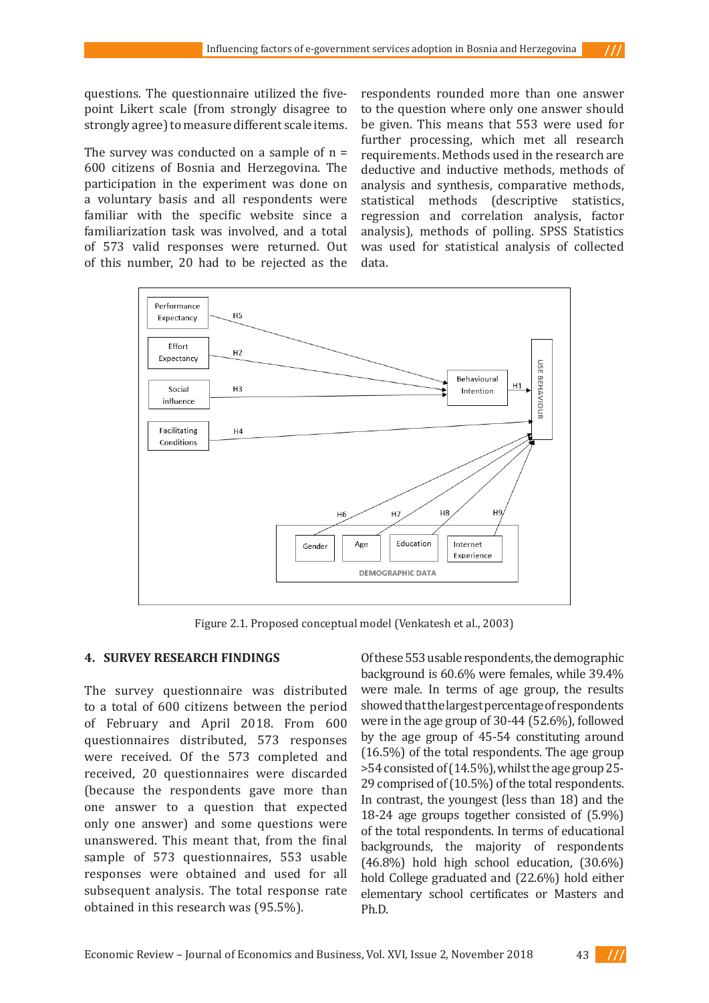questions. The questionnaire utilized the fivepoint Likert scale (from strongly disagree to strongly agree) to measure different scale items.

The survey was conducted on a sample of  $n =$ 600 citizens of Bosnia and Herzegovina. The participation in the experiment was done on a voluntary basis and all respondents were familiar with the specific website since a familiarization task was involved, and a total of 573 valid responses were returned. Out of this number, 20 had to be rejected as the

respondents rounded more than one answer to the question where only one answer should be given. This means that 553 were used for further processing, which met all research requirements. Methods used in the research are deductive and inductive methods, methods of analysis and synthesis, comparative methods, statistical methods (descriptive statistics, regression and correlation analysis, factor analysis), methods of polling. SPSS Statistics was used for statistical analysis of collected data.

 $111$ 



Figure 2.1. Proposed conceptual model (Venkatesh et al., 2003)

### **4. SURVEY RESEARCH FINDINGS**

The survey questionnaire was distributed to a total of 600 citizens between the period of February and April 2018. From 600 questionnaires distributed, 573 responses were received. Of the 573 completed and received, 20 questionnaires were discarded (because the respondents gave more than one answer to a question that expected only one answer) and some questions were unanswered. This meant that, from the final sample of 573 questionnaires, 553 usable responses were obtained and used for all subsequent analysis. The total response rate obtained in this research was (95.5%).

Of these 553 usable respondents, the demographic background is 60.6% were females, while 39.4% were male. In terms of age group, the results showed that the largest percentage of respondents were in the age group of 30-44 (52.6%), followed by the age group of 45-54 constituting around (16.5%) of the total respondents. The age group >54 consisted of (14.5%), whilst the age group 25- 29 comprised of (10.5%) of the total respondents. In contrast, the youngest (less than 18) and the 18-24 age groups together consisted of (5.9%) of the total respondents. In terms of educational backgrounds, the majority of respondents (46.8%) hold high school education, (30.6%) hold College graduated and (22.6%) hold either elementary school certificates or Masters and Ph.D.

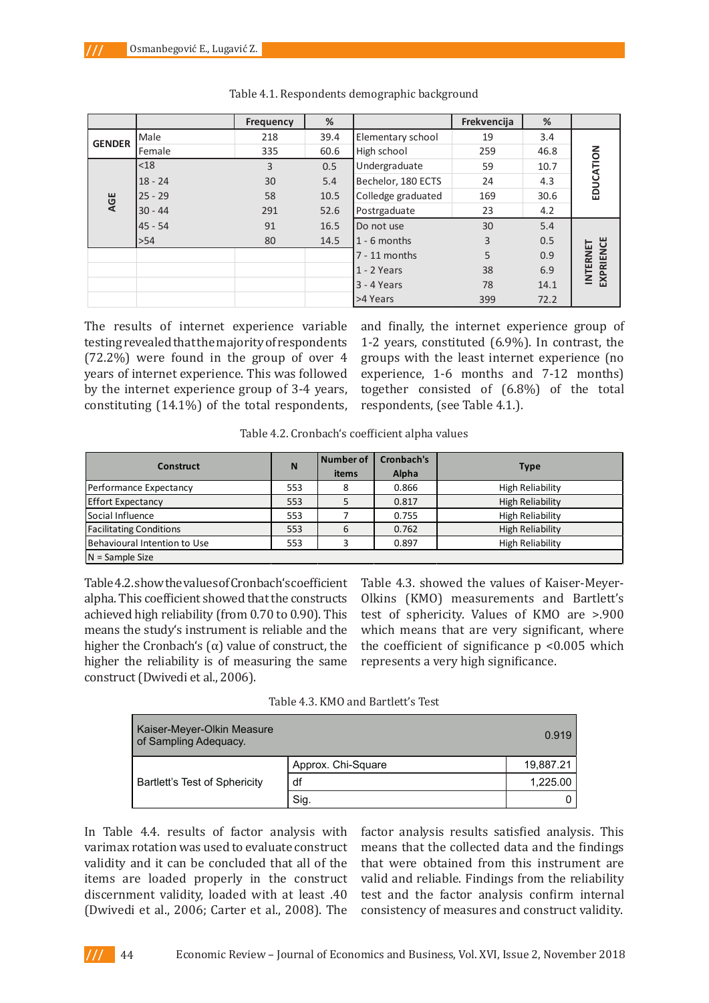|               |           | <b>Frequency</b> | %    |                    | Frekvencija | %    |                              |
|---------------|-----------|------------------|------|--------------------|-------------|------|------------------------------|
| <b>GENDER</b> | Male      | 218              | 39.4 | Elementary school  | 19          | 3.4  |                              |
|               | Female    | 335              | 60.6 | High school        | 259         | 46.8 |                              |
|               | $<$ 18    | 3                | 0.5  | Undergraduate      | 59          | 10.7 | EDUCATION                    |
|               | $18 - 24$ | 30               | 5.4  | Bechelor, 180 ECTS | 24          | 4.3  |                              |
| AGE           | $25 - 29$ | 58               | 10.5 | Colledge graduated | 169         | 30.6 |                              |
|               | $30 - 44$ | 291              | 52.6 | Postrgaduate       | 23          | 4.2  |                              |
|               | $45 - 54$ | 91               | 16.5 | Do not use         | 30          | 5.4  |                              |
|               | >54       | 80               | 14.5 | $1 - 6$ months     | 3           | 0.5  |                              |
|               |           |                  |      | $7 - 11$ months    | 5           | 0.9  | EXPRIENCE<br><b>INTERNET</b> |
|               |           |                  |      | $1 - 2$ Years      | 38          | 6.9  |                              |
|               |           |                  |      | $3 - 4$ Years      | 78          | 14.1 |                              |
|               |           |                  |      | >4 Years           | 399         | 72.2 |                              |

The results of internet experience variable testing revealed that the majority of respondents (72.2%) were found in the group of over 4 years of internet experience. This was followed by the internet experience group of 3-4 years, **together consisted of (6.8%) of the total respondents, (see Table 4.1.).** 

constituting (14.1%) of the total respondents, respondents, (see Table 4.1.). The results of internet experience variable and many, the miernet experience group of (172.2) were found in the group of over 4 groups with the least internet experience. Inc. **by the internet experience.** This was followed experience, 1-6 months and 7-12 months) by the internet experience rine was followed experience, it is include that  $\ell$  in contrast, together consisted of  $(6.8\%)$  of the total and finally, the internet experience group of 1-2 years, constituted (6.9%). In contrast, the groups with the least internet experience (no respondents, (see Table 4.1.).

Table 4.2. Cronbach's coefficient alpha values

| Construct                      | N   | <b>Number of</b><br>items | Cronbach's<br>Alpha | <b>Type</b>             |
|--------------------------------|-----|---------------------------|---------------------|-------------------------|
| Performance Expectancy         | 553 | 8                         | 0.866               | High Reliability        |
| <b>Effort Expectancy</b>       | 553 |                           | 0.817               | <b>High Reliability</b> |
| Social Influence               | 553 |                           | 0.755               | <b>High Reliability</b> |
| <b>Facilitating Conditions</b> | 553 | 6                         | 0.762               | <b>High Reliability</b> |
| Behavioural Intention to Use   | 553 |                           | 0.897               | <b>High Reliability</b> |
| $N =$ Sample Size              |     |                           |                     |                         |

Table 4.2. show the values of Cronbach's coefficient alpha. This coefficient showed that the constructs achieved high reliability (from 0.70 to 0.90). This means the study's instrument is reliable and the higher the Cronbach's  $(α)$  value of construct, the higher the reliability is of measuring the same construct (Dwivedi et al., 2006).

Table 4.3. showed the values of Kaiser-Meyer-Olkins (KMO) measurements and Bartlett's test of sphericity. Values of KMO are >.900 which means that are very significant, where the coefficient of significance  $p$  <0.005 which represents a very high significance.

Table 4.3. KMO and Bartlett's Test

| Kaiser-Meyer-Olkin Measure<br>of Sampling Adequacy. |                    | 0.919     |
|-----------------------------------------------------|--------------------|-----------|
|                                                     | Approx. Chi-Square | 19,887.21 |
| Bartlett's Test of Sphericity                       | df                 | 1,225.00  |
|                                                     | Sig.               |           |

In Table 4.4. results of factor analysis with varimax rotation was used to evaluate construct validity and it can be concluded that all of the items are loaded properly in the construct discernment validity, loaded with at least .40 (Dwivedi et al., 2006; Carter et al., 2008). The

factor analysis results satisfied analysis. This means that the collected data and the findings that were obtained from this instrument are valid and reliable. Findings from the reliability test and the factor analysis confirm internal consistency of measures and construct validity.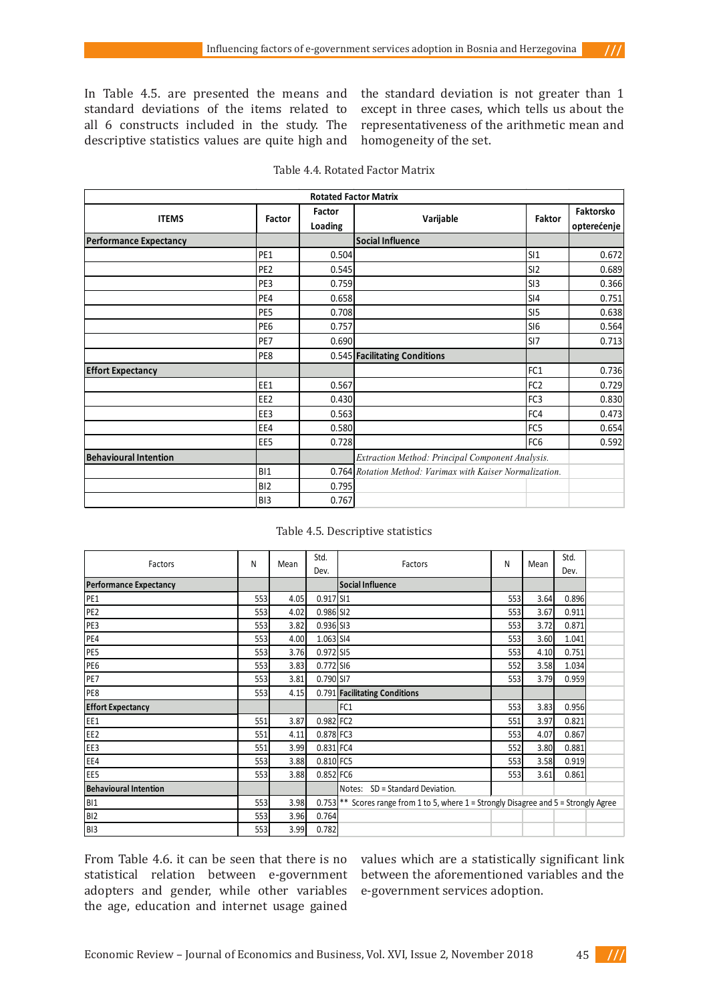In Table 4.5. are presented the means and standard deviations of the items related to all 6 constructs included in the study. The descriptive statistics values are quite high and the standard deviation is not greater than 1 except in three cases, which tells us about the representativeness of the arithmetic mean and homogeneity of the set.

 $111$ 

| <b>Rotated Factor Matrix</b>  |                 |                   |                                                           |                 |                          |  |  |
|-------------------------------|-----------------|-------------------|-----------------------------------------------------------|-----------------|--------------------------|--|--|
| <b>ITEMS</b>                  | Factor          | Factor<br>Loading | <b>Faktor</b><br>Varijable                                |                 | Faktorsko<br>opterećenje |  |  |
| <b>Performance Expectancy</b> |                 |                   | <b>Social Influence</b>                                   |                 |                          |  |  |
|                               | PE <sub>1</sub> | 0.504             |                                                           | SI1             | 0.672                    |  |  |
|                               | PE <sub>2</sub> | 0.545             |                                                           | SI <sub>2</sub> | 0.689                    |  |  |
|                               | PE3             | 0.759             |                                                           | SI3             | 0.366                    |  |  |
|                               | PE4             | 0.658             |                                                           | SI4             | 0.751                    |  |  |
|                               | PE <sub>5</sub> | 0.708             |                                                           | SI <sub>5</sub> | 0.638                    |  |  |
|                               | PE6             | 0.757             |                                                           | SI <sub>6</sub> | 0.564                    |  |  |
|                               | PE7             | 0.690             |                                                           | SI7             | 0.713                    |  |  |
|                               | PE8             |                   | 0.545 Facilitating Conditions                             |                 |                          |  |  |
| <b>Effort Expectancy</b>      |                 |                   |                                                           | FC1             | 0.736                    |  |  |
|                               | EE1             | 0.567             |                                                           | FC <sub>2</sub> | 0.729                    |  |  |
|                               | EE <sub>2</sub> | 0.430             |                                                           | FC3             | 0.830                    |  |  |
|                               | EE3             | 0.563             |                                                           | FC4             | 0.473                    |  |  |
|                               | EE4             | 0.580             |                                                           | FC <sub>5</sub> | 0.654                    |  |  |
|                               | EE <sub>5</sub> | 0.728             |                                                           | FC <sub>6</sub> | 0.592                    |  |  |
| <b>Behavioural Intention</b>  |                 |                   | Extraction Method: Principal Component Analysis.          |                 |                          |  |  |
|                               | B11             |                   | 0.764 Rotation Method: Varimax with Kaiser Normalization. |                 |                          |  |  |
|                               | B <sub>12</sub> | 0.795             |                                                           |                 |                          |  |  |
|                               | B <sub>13</sub> | 0.767             |                                                           |                 |                          |  |  |

#### Table 4.5. Descriptive statistics

| Factors                       | N   | Mean | Std.      | Factors                                                                         | N   | Mean | Std.  |  |
|-------------------------------|-----|------|-----------|---------------------------------------------------------------------------------|-----|------|-------|--|
|                               |     |      | Dev.      |                                                                                 |     |      | Dev.  |  |
| <b>Performance Expectancy</b> |     |      |           | <b>Social Influence</b>                                                         |     |      |       |  |
| PE <sub>1</sub>               | 553 | 4.05 | 0.917 SI1 |                                                                                 | 553 | 3.64 | 0.896 |  |
| PE <sub>2</sub>               | 553 | 4.02 | 0.986 SI2 |                                                                                 | 553 | 3.67 | 0.911 |  |
| PE3                           | 553 | 3.82 | 0.936 SI3 |                                                                                 | 553 | 3.72 | 0.871 |  |
| PE4                           | 553 | 4.00 | 1.063 SI4 |                                                                                 | 553 | 3.60 | 1.041 |  |
| PE5                           | 553 | 3.76 | 0.972 SI5 |                                                                                 | 553 | 4.10 | 0.751 |  |
| PE <sub>6</sub>               | 553 | 3.83 | 0.772 SI6 |                                                                                 | 552 | 3.58 | 1.034 |  |
| PE7                           | 553 | 3.81 | 0.790 SI7 |                                                                                 | 553 | 3.79 | 0.959 |  |
| PE8                           | 553 | 4.15 |           | 0.791 Facilitating Conditions                                                   |     |      |       |  |
| <b>Effort Expectancy</b>      |     |      |           | FC1                                                                             | 553 | 3.83 | 0.956 |  |
| EE1                           | 551 | 3.87 | 0.982 FC2 |                                                                                 | 551 | 3.97 | 0.821 |  |
| EE <sub>2</sub>               | 551 | 4.11 | 0.878 FC3 |                                                                                 | 553 | 4.07 | 0.867 |  |
| EE3                           | 551 | 3.99 | 0.831 FC4 |                                                                                 | 552 | 3.80 | 0.881 |  |
| EE4                           | 553 | 3.88 | 0.810 FC5 |                                                                                 | 553 | 3.58 | 0.919 |  |
| EE <sub>5</sub>               | 553 | 3.88 | 0.852 FC6 |                                                                                 | 553 | 3.61 | 0.861 |  |
| <b>Behavioural Intention</b>  |     |      |           | Notes:<br>SD = Standard Deviation.                                              |     |      |       |  |
| <b>BI1</b>                    | 553 | 3.98 | 0.753     | ** Scores range from 1 to 5, where 1 = Strongly Disagree and 5 = Strongly Agree |     |      |       |  |
| BI <sub>2</sub>               | 553 | 3.96 | 0.764     |                                                                                 |     |      |       |  |
| B <sub>13</sub>               | 553 | 3.99 | 0.782     |                                                                                 |     |      |       |  |

From Table 4.6. it can be seen that there is no statistical relation between e-government adopters and gender, while other variables the age, education and internet usage gained

values which are a statistically significant link between the aforementioned variables and the e-government services adoption.

Economic Review – Journal of Economics and Business, Vol. XVI, Issue 2, November 2018 45

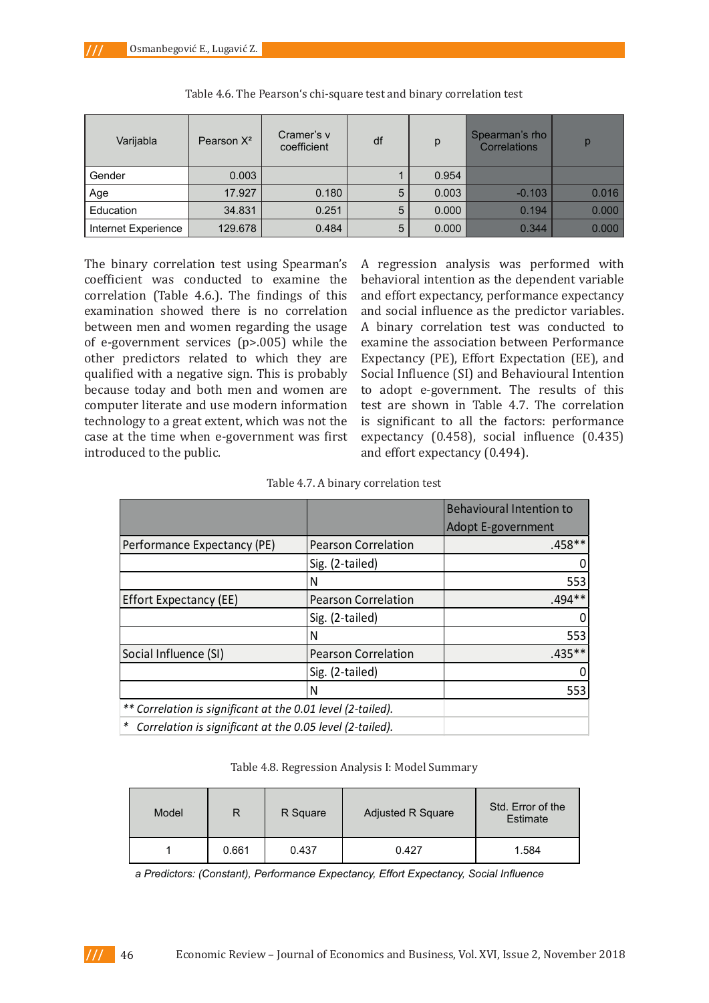| Varijabla           | Pearson $X^2$ | Cramer's v<br>coefficient | df | p     | Spearman's rho<br>Correlations | р     |
|---------------------|---------------|---------------------------|----|-------|--------------------------------|-------|
| Gender              | 0.003         |                           |    | 0.954 |                                |       |
| Age                 | 17.927        | 0.180                     | 5  | 0.003 | $-0.103$                       | 0.016 |
| Education           | 34.831        | 0.251                     | 5  | 0.000 | 0.194                          | 0.000 |
| Internet Experience | 129.678       | 0.484                     | 5  | 0.000 | 0.344                          | 0.000 |

The binary correlation test using Spearman's coefficient was conducted to examine the correlation (Table 4.6.). The findings of this examination showed there is no correlation between men and women regarding the usage of e-government services (p>.005) while the other predictors related to which they are qualified with a negative sign. This is probably because today and both men and women are computer literate and use modern information technology to a great extent, which was not the case at the time when e-government was first introduced to the public.

A regression analysis was performed with behavioral intention as the dependent variable and effort expectancy, performance expectancy and social influence as the predictor variables. A binary correlation test was conducted to examine the association between Performance Expectancy (PE), Effort Expectation (EE), and Social Influence (SI) and Behavioural Intention to adopt e-government. The results of this test are shown in Table 4.7. The correlation is significant to all the factors: performance expectancy (0.458), social influence (0.435) and effort expectancy (0.494).

Table 4.7. A binary correlation test

|                                                             |                            | <b>Behavioural Intention to</b> |
|-------------------------------------------------------------|----------------------------|---------------------------------|
|                                                             |                            | <b>Adopt E-government</b>       |
| Performance Expectancy (PE)                                 | <b>Pearson Correlation</b> | $.458**$                        |
|                                                             | Sig. (2-tailed)            |                                 |
|                                                             | N                          | 553                             |
| Effort Expectancy (EE)                                      | <b>Pearson Correlation</b> | .494**                          |
|                                                             | Sig. (2-tailed)            | 0                               |
|                                                             | N                          | 553                             |
| Social Influence (SI)                                       | <b>Pearson Correlation</b> | $.435**$                        |
|                                                             | Sig. (2-tailed)            | 0                               |
|                                                             | N                          | 553                             |
| ** Correlation is significant at the 0.01 level (2-tailed). |                            |                                 |
| * Correlation is significant at the 0.05 level (2-tailed).  |                            |                                 |

Table 4.8. Regression Analysis I: Model Summary

| Model |       | R Square | Adjusted R Square | Std. Error of the<br>Estimate |
|-------|-------|----------|-------------------|-------------------------------|
|       | 0.661 | 0.437    | 0.427             | 1.584                         |

 *a Predictors: (Constant), Performance Expectancy, Effort Expectancy, Social Influence*

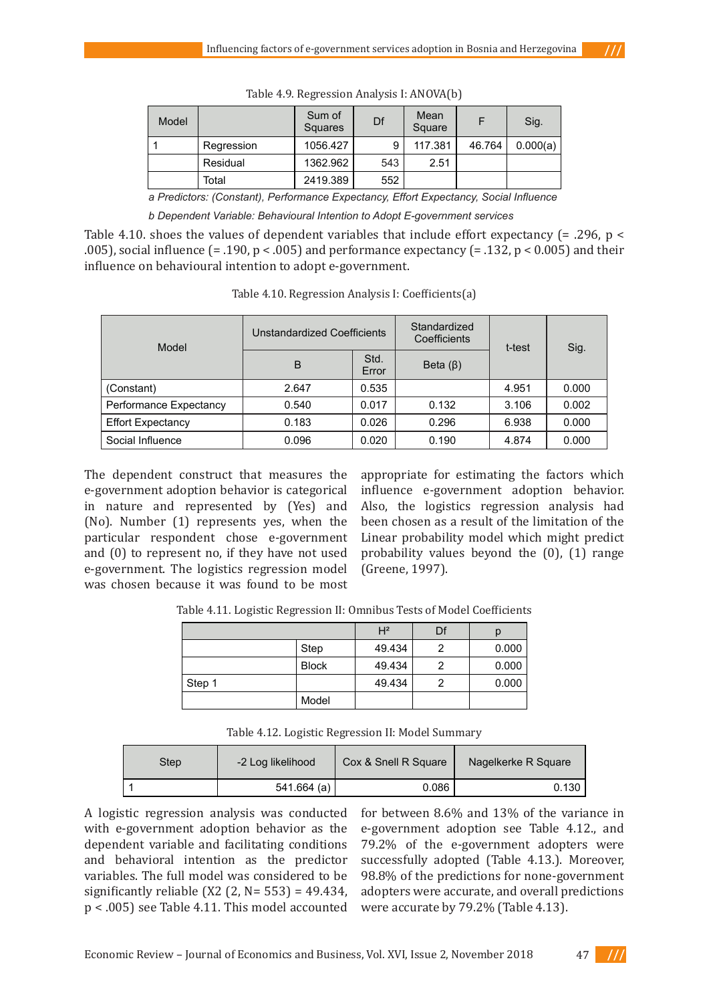| Model |            | Sum of<br>Squares | Df  | Mean<br>Square |        | Sig.     |
|-------|------------|-------------------|-----|----------------|--------|----------|
|       | Regression | 1056.427          |     | 117.381        | 46.764 | 0.000(a) |
|       | Residual   | 1362.962          | 543 | 2.51           |        |          |
|       | Total      | 2419.389          | 552 |                |        |          |

Table 4.9. Regression Analysis I: ANOVA(b)

*a Predictors: (Constant), Performance Expectancy, Effort Expectancy, Social Influence*

*b Dependent Variable: Behavioural Intention to Adopt E-government services*

Table 4.10. shoes the values of dependent variables that include effort expectancy (= .296, p < .005), social influence  $(= .190, p < .005)$  and performance expectancy  $(= .132, p < 0.005)$  and their influence on behavioural intention to adopt e-government.

| Model                    | <b>Unstandardized Coefficients</b> |               | Standardized<br>Coefficients | t-test | Sig.  |  |
|--------------------------|------------------------------------|---------------|------------------------------|--------|-------|--|
|                          | B                                  | Std.<br>Error | Beta $(\beta)$               |        |       |  |
| (Constant)               | 2.647                              | 0.535         |                              | 4.951  | 0.000 |  |
| Performance Expectancy   | 0.540                              | 0.017         | 0.132                        | 3.106  | 0.002 |  |
| <b>Effort Expectancy</b> | 0.183                              | 0.026         | 0.296                        | 6.938  | 0.000 |  |
| Social Influence         | 0.096                              | 0.020         | 0.190                        | 4.874  | 0.000 |  |

Table 4.10. Regression Analysis I: Coefficients(a)

The dependent construct that measures the e-government adoption behavior is categorical in nature and represented by (Yes) and (No). Number (1) represents yes, when the particular respondent chose e-government and (0) to represent no, if they have not used e-government. The logistics regression model was chosen because it was found to be most

appropriate for estimating the factors which influence e-government adoption behavior. Also, the logistics regression analysis had been chosen as a result of the limitation of the Linear probability model which might predict probability values beyond the (0), (1) range (Greene, 1997).

Table 4.11. Logistic Regression II: Omnibus Tests of Model Coefficients

|        |              | H <sup>2</sup> | Df |       |
|--------|--------------|----------------|----|-------|
|        | Step         | 49.434         |    | 0.000 |
|        | <b>Block</b> | 49.434         |    | 0.000 |
| Step 1 |              | 49.434         |    | 0.000 |
|        | Model        |                |    |       |

| Step | -2 Log likelihood | Cox & Snell R Square | Nagelkerke R Square |
|------|-------------------|----------------------|---------------------|
|      | 541.664 (a)       | 0.086                | 0.130               |

A logistic regression analysis was conducted with e-government adoption behavior as the dependent variable and facilitating conditions and behavioral intention as the predictor variables. The full model was considered to be significantly reliable (X2 (2,  $N = 553$ ) = 49.434, p < .005) see Table 4.11. This model accounted for between 8.6% and 13% of the variance in e-government adoption see Table 4.12., and 79.2% of the e-government adopters were successfully adopted (Table 4.13.). Moreover, 98.8% of the predictions for none-government adopters were accurate, and overall predictions were accurate by 79.2% (Table 4.13).



 $111$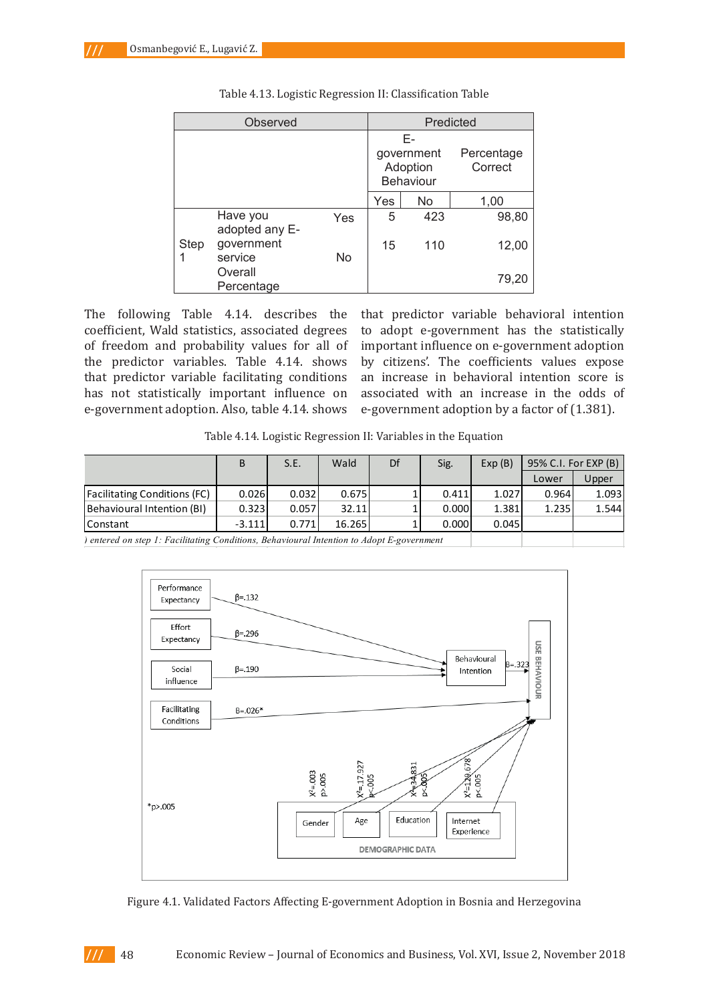**(Table 4.13).**

| Observed |                            |                                                                    | Predicted |     |       |  |
|----------|----------------------------|--------------------------------------------------------------------|-----------|-----|-------|--|
|          |                            | Е-<br>Percentage<br>government<br>Adoption<br>Correct<br>Behaviour |           |     |       |  |
|          |                            |                                                                    | Yes       | No  | 1,00  |  |
|          | Have you<br>adopted any E- | Yes                                                                | 5         | 423 | 98,80 |  |
| Step     | government<br>service      | N <sub>o</sub>                                                     | 15        | 110 | 12,00 |  |
|          | Overall<br>Percentage      |                                                                    |           |     | 79,20 |  |

Table 4.13. Logistic Regression II: Classification Table **Table 4.13.: Logistic Regression II: Classification Table**

The following Table 4.14. describes the that predictor variable behavioral inte coefficient, Wald statistics, associated degrees to adopt e-government has the statis of freedom and probability values for all of important influence on e-government add has not statistically important influence on associated with an increase in the od e-government adoption. Also, table 4.14. shows e-government adoption by a factor o the predictor variables. Table 4.14. shows that predictor variable facilitating conditions

bredictor variables. Table 4.14. shows by citizens'. The coefficients values expose bredictor variable facilitating conditions an increase in behavioral intention score is that predictor variable behavioral intention to adopt e-government has the statistically important influence on e-government adoption associated with an increase in the odds of e-government adoption by a factor of (1.381).

**Table 4.14.: Logistic Regression II: Variables in the Equation** Table 4.14. Logistic Regression II: Variables in the Equation

|                                     | B        | S.E.  | Wald   | Df | Sig.  | Exp(B) | 95% C.I. For EXP (B) |       |
|-------------------------------------|----------|-------|--------|----|-------|--------|----------------------|-------|
|                                     |          |       |        |    |       |        | Lower                | Upper |
| <b>Facilitating Conditions (FC)</b> | 0.026    | 0.032 | 0.675  |    | 0.411 | 1.027  | 0.964                | 1.093 |
| Behavioural Intention (BI)          | 0.323    | 0.057 | 32.11  |    | 0.000 | 1.381  | 1.235                | 1.544 |
| l Constant                          | $-3.111$ | 0.771 | 16.265 |    | 0.000 | 0.045  |                      |       |



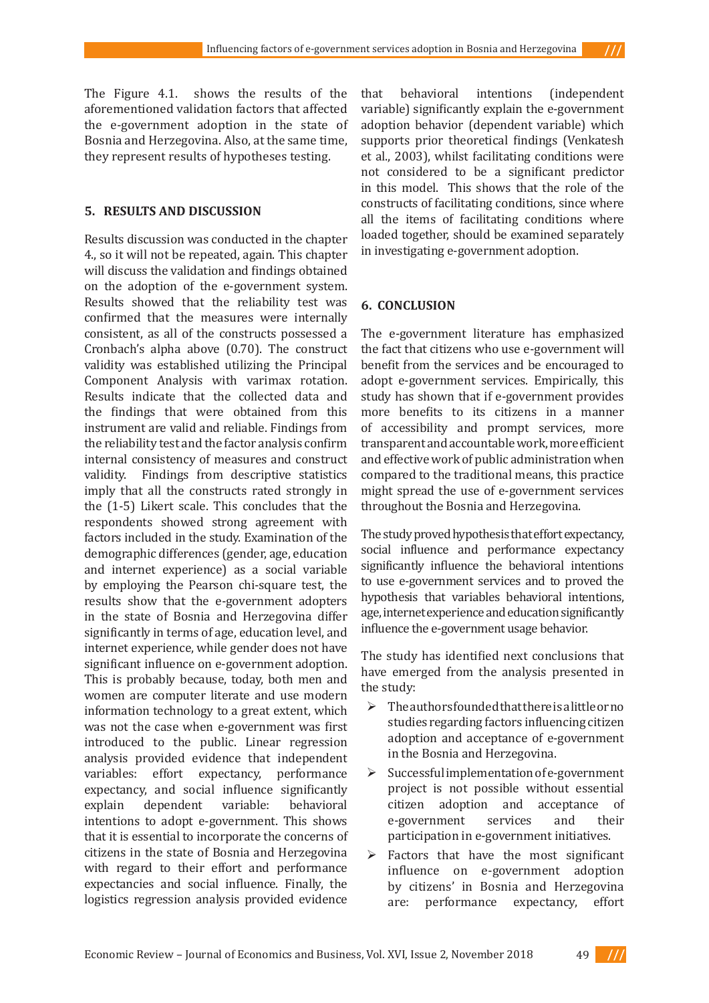The Figure 4.1. shows the results of the aforementioned validation factors that affected the e-government adoption in the state of Bosnia and Herzegovina. Also, at the same time, they represent results of hypotheses testing.

#### **5. RESULTS AND DISCUSSION**

Results discussion was conducted in the chapter 4., so it will not be repeated, again. This chapter will discuss the validation and findings obtained on the adoption of the e-government system. Results showed that the reliability test was confirmed that the measures were internally consistent, as all of the constructs possessed a Cronbach's alpha above (0.70). The construct validity was established utilizing the Principal Component Analysis with varimax rotation. Results indicate that the collected data and the findings that were obtained from this instrument are valid and reliable. Findings from the reliability test and the factor analysis confirm internal consistency of measures and construct validity. Findings from descriptive statistics imply that all the constructs rated strongly in the (1-5) Likert scale. This concludes that the respondents showed strong agreement with factors included in the study. Examination of the demographic differences (gender, age, education and internet experience) as a social variable by employing the Pearson chi-square test, the results show that the e-government adopters in the state of Bosnia and Herzegovina differ significantly in terms of age, education level, and internet experience, while gender does not have significant influence on e-government adoption. This is probably because, today, both men and women are computer literate and use modern information technology to a great extent, which was not the case when e-government was first introduced to the public. Linear regression analysis provided evidence that independent variables: effort expectancy, performance expectancy, and social influence significantly<br>explain dependent variable: behavioral dependent intentions to adopt e-government. This shows that it is essential to incorporate the concerns of citizens in the state of Bosnia and Herzegovina with regard to their effort and performance expectancies and social influence. Finally, the logistics regression analysis provided evidence

that behavioral intentions (independent variable) significantly explain the e-government adoption behavior (dependent variable) which supports prior theoretical findings (Venkatesh et al., 2003), whilst facilitating conditions were not considered to be a significant predictor in this model. This shows that the role of the constructs of facilitating conditions, since where all the items of facilitating conditions where loaded together, should be examined separately in investigating e-government adoption.

 $111$ 

### **6. CONCLUSION**

The e-government literature has emphasized the fact that citizens who use e-government will benefit from the services and be encouraged to adopt e-government services. Empirically, this study has shown that if e-government provides more benefits to its citizens in a manner of accessibility and prompt services, more transparent and accountable work, more efficient and effective work of public administration when compared to the traditional means, this practice might spread the use of e-government services throughout the Bosnia and Herzegovina.

The study proved hypothesis that effort expectancy, social influence and performance expectancy significantly influence the behavioral intentions to use e-government services and to proved the hypothesis that variables behavioral intentions, age, internet experience and education significantly influence the e-government usage behavior.

The study has identified next conclusions that have emerged from the analysis presented in the study:

- $\triangleright$  The authors founded that there is a little or no studies regarding factors influencing citizen adoption and acceptance of e-government in the Bosnia and Herzegovina.
- $\triangleright$  Successful implementation of e-government project is not possible without essential<br>citizen adoption and acceptance of citizen adoption and acceptance of<br>e-government services and their e-government participation in e-government initiatives.
- $\triangleright$  Factors that have the most significant influence on e-government adoption by citizens' in Bosnia and Herzegovina are: performance expectancy, effort

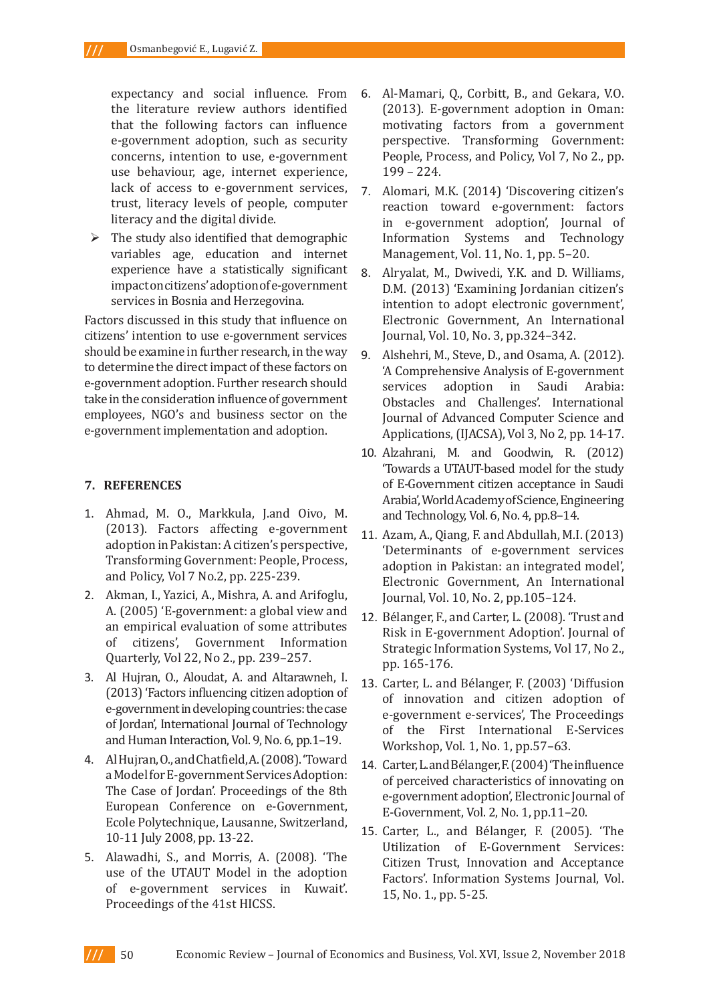expectancy and social influence. From the literature review authors identified that the following factors can influence e-government adoption, such as security concerns, intention to use, e-government use behaviour, age, internet experience, lack of access to e-government services, trust, literacy levels of people, computer literacy and the digital divide.

 $\triangleright$  The study also identified that demographic variables age, education and internet experience have a statistically significant impact on citizens' adoption of e-government services in Bosnia and Herzegovina.

Factors discussed in this study that influence on citizens' intention to use e-government services should be examine in further research, in the way to determine the direct impact of these factors on e-government adoption. Further research should take in the consideration influence of government employees, NGO's and business sector on the e-government implementation and adoption.

## **7. REFERENCES**

- 1. Ahmad, M. O., Markkula, J.and Oivo, M. (2013). Factors affecting e-government adoption in Pakistan: A citizen's perspective, Transforming Government: People, Process, and Policy, Vol 7 No.2, pp. 225-239.
- 2. Akman, I., Yazici, A., Mishra, A. and Arifoglu, A. (2005) 'E-government: a global view and an empirical evaluation of some attributes<br>of citizens', Government Information Government Information Quarterly, Vol 22, No 2., pp. 239–257.
- 3. Al Hujran, O., Aloudat, A. and Altarawneh, I. (2013) 'Factors influencing citizen adoption of e-government in developing countries: the case of Jordan', International Journal of Technology and Human Interaction, Vol. 9, No. 6, pp.1–19.
- 4. Al Hujran, O., and Chatfield, A. (2008). 'Toward a Model for E-government Services Adoption: The Case of Jordan'. Proceedings of the 8th European Conference on e-Government, Ecole Polytechnique, Lausanne, Switzerland, 10-11 July 2008, pp. 13-22.
- 5. Alawadhi, S., and Morris, A. (2008). 'The use of the UTAUT Model in the adoption of e-government services in Kuwait'. Proceedings of the 41st HICSS.
- 6. Al-Mamari, Q., Corbitt, B., and Gekara, V.O. (2013). E-government adoption in Oman: motivating factors from a government perspective. Transforming Government: People, Process, and Policy, Vol 7, No 2., pp. 199 – 224.
- 7. Alomari, M.K. (2014) 'Discovering citizen's reaction toward e-government: factors in e-government adoption', Journal of Information Systems and Technology Management, Vol. 11, No. 1, pp. 5–20.
- 8. Alryalat, M., Dwivedi, Y.K. and D. Williams, D.M. (2013) 'Examining Jordanian citizen's intention to adopt electronic government', Electronic Government, An International Journal, Vol. 10, No. 3, pp.324–342.
- 9. Alshehri, M., Steve, D., and Osama, A. (2012). 'A Comprehensive Analysis of E-government in Saudi Arabia: Obstacles and Challenges'. International Journal of Advanced Computer Science and Applications, (IJACSA), Vol 3, No 2, pp. 14-17.
- 10. Alzahrani, M. and Goodwin, R. (2012) 'Towards a UTAUT-based model for the study of E-Government citizen acceptance in Saudi Arabia', World Academy of Science, Engineering and Technology, Vol. 6, No. 4, pp.8–14.
- 11. Azam, A., Qiang, F. and Abdullah, M.I. (2013) 'Determinants of e-government services adoption in Pakistan: an integrated model', Electronic Government, An International Journal, Vol. 10, No. 2, pp.105–124.
- 12. Bélanger, F., and Carter, L. (2008). 'Trust and Risk in E-government Adoption'. Journal of Strategic Information Systems, Vol 17, No 2., pp. 165-176.
- 13. Carter, L. and Bélanger, F. (2003) 'Diffusion of innovation and citizen adoption of e-government e-services', The Proceedings of the First International E-Services Workshop, Vol. 1, No. 1, pp.57–63.
- 14. Carter, L. and Bélanger, F. (2004) 'The influence of perceived characteristics of innovating on e-government adoption', Electronic Journal of E-Government, Vol. 2, No. 1, pp.11–20.
- 15. Carter, L., and Bélanger, F. (2005). 'The Utilization of E-Government Services: Citizen Trust, Innovation and Acceptance Factors'. Information Systems Journal, Vol. 15, No. 1., pp. 5-25.